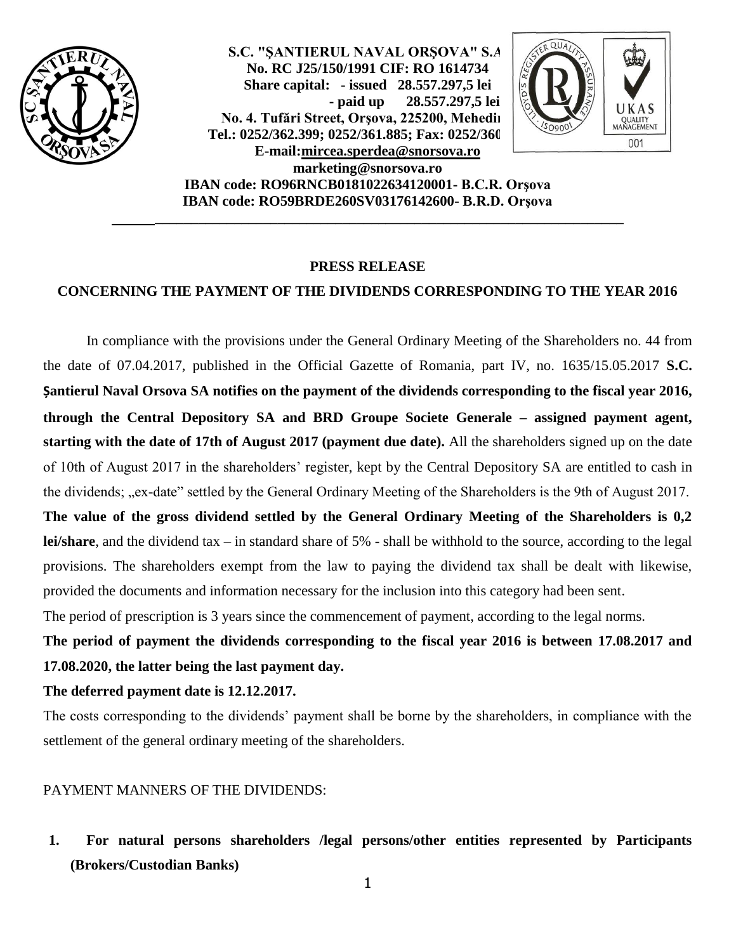

**S.C. "ŞANTIERUL NAVAL ORŞOVA" S.A. No. RC J25/150/1991 CIF: RO 1614734 Share capital: - issued 28.557.297,5 lei - paid up 28.557.297,5 lei** No. 4. Tufări Street, Orşova, 225200, Mehedin Tel.: 0252/362.399; 0252/361.885; Fax: 0252/360 **E-mail[:mircea.sperdea@snorsova.ro](mailto:mircea.sperdea@snorsova.ro) [marketing@snorsova.ro](mailto:marketing@snorsova.ro)**



**IBAN code: RO96RNCB0181022634120001- B.C.R. Orşova IBAN code: RO59BRDE260SV03176142600- B.R.D. Orşova**

**\_\_\_\_\_\_\_\_\_\_\_\_\_\_\_\_\_\_\_\_\_\_\_\_\_\_\_\_\_\_\_\_\_\_\_\_\_\_\_\_\_\_\_\_\_\_\_\_\_\_\_\_\_\_\_\_\_\_\_\_\_\_\_\_\_**

#### **PRESS RELEASE**

### **CONCERNING THE PAYMENT OF THE DIVIDENDS CORRESPONDING TO THE YEAR 2016**

In compliance with the provisions under the General Ordinary Meeting of the Shareholders no. 44 from the date of 07.04.2017, published in the Official Gazette of Romania, part IV, no. 1635/15.05.2017 **S.C. Șantierul Naval Orsova SA notifies on the payment of the dividends corresponding to the fiscal year 2016, through the Central Depository SA and BRD Groupe Societe Generale – assigned payment agent, starting with the date of 17th of August 2017 (payment due date).** All the shareholders signed up on the date of 10th of August 2017 in the shareholders' register, kept by the Central Depository SA are entitled to cash in the dividends; "ex-date" settled by the General Ordinary Meeting of the Shareholders is the 9th of August 2017. **The value of the gross dividend settled by the General Ordinary Meeting of the Shareholders is 0,2 lei/share**, and the dividend tax – in standard share of 5% - shall be withhold to the source, according to the legal provisions. The shareholders exempt from the law to paying the dividend tax shall be dealt with likewise,

provided the documents and information necessary for the inclusion into this category had been sent.

The period of prescription is 3 years since the commencement of payment, according to the legal norms.

**The period of payment the dividends corresponding to the fiscal year 2016 is between 17.08.2017 and 17.08.2020, the latter being the last payment day.**

**The deferred payment date is 12.12.2017.**

The costs corresponding to the dividends' payment shall be borne by the shareholders, in compliance with the settlement of the general ordinary meeting of the shareholders.

PAYMENT MANNERS OF THE DIVIDENDS:

**1. For natural persons shareholders /legal persons/other entities represented by Participants (Brokers/Custodian Banks)**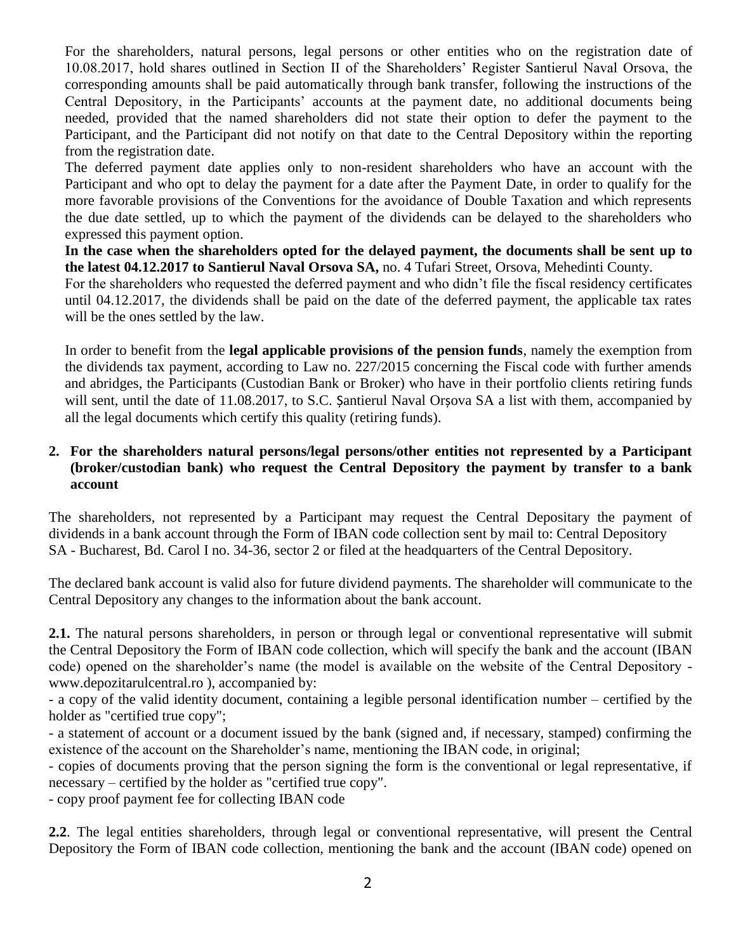For the shareholders, natural persons, legal persons or other entities who on the registration date of 10.08.2017, hold shares outlined in Section II of the Shareholders' Register Santierul Naval Orsova, the corresponding amounts shall be paid automatically through bank transfer, following the instructions of the Central Depository, in the Participants' accounts at the payment date, no additional documents being needed, provided that the named shareholders did not state their option to defer the payment to the Participant, and the Participant did not notify on that date to the Central Depository within the reporting from the registration date.

The deferred payment date applies only to non-resident shareholders who have an account with the Participant and who opt to delay the payment for a date after the Payment Date, in order to qualify for the more favorable provisions of the Conventions for the avoidance of Double Taxation and which represents the due date settled, up to which the payment of the dividends can be delayed to the shareholders who expressed this payment option.

**In the case when the shareholders opted for the delayed payment, the documents shall be sent up to the latest 04.12.2017 to Santierul Naval Orsova SA,** no. 4 Tufari Street, Orsova, Mehedinti County.

For the shareholders who requested the deferred payment and who didn't file the fiscal residency certificates until 04.12.2017, the dividends shall be paid on the date of the deferred payment, the applicable tax rates will be the ones settled by the law.

In order to benefit from the **legal applicable provisions of the pension funds**, namely the exemption from the dividends tax payment, according to Law no. 227/2015 concerning the Fiscal code with further amends and abridges, the Participants (Custodian Bank or Broker) who have in their portfolio clients retiring funds will sent, until the date of 11.08.2017, to S.C. Șantierul Naval Orșova SA a list with them, accompanied by all the legal documents which certify this quality (retiring funds).

# **2. For the shareholders natural persons/legal persons/other entities not represented by a Participant (broker/custodian bank) who request the Central Depository the payment by transfer to a bank account**

The shareholders, not represented by a Participant may request the Central Depositary the payment of dividends in a bank account through the Form of IBAN code collection sent by mail to: Central Depository SA - Bucharest, Bd. Carol I no. 34-36, sector 2 or filed at the headquarters of the Central Depository.

The declared bank account is valid also for future dividend payments. The shareholder will communicate to the Central Depository any changes to the information about the bank account.

**2.1.** The natural persons shareholders*,* in person or through legal or conventional representative will submit the Central Depository the Form of IBAN code collection, which will specify the bank and the account (IBAN code) opened on the shareholder's name (the model is available on the website of the Central Depository www.depozitarulcentral.ro ), accompanied by:

- a copy of the valid identity document, containing a legible personal identification number – certified by the holder as "certified true copy";

- a statement of account or a document issued by the bank (signed and, if necessary, stamped) confirming the existence of the account on the Shareholder's name, mentioning the IBAN code, in original;

- copies of documents proving that the person signing the form is the conventional or legal representative, if necessary – certified by the holder as "certified true copy".

- copy proof payment fee for collecting IBAN code

**2.2**. The legal entities shareholders, through legal or conventional representative, will present the Central Depository the Form of IBAN code collection, mentioning the bank and the account (IBAN code) opened on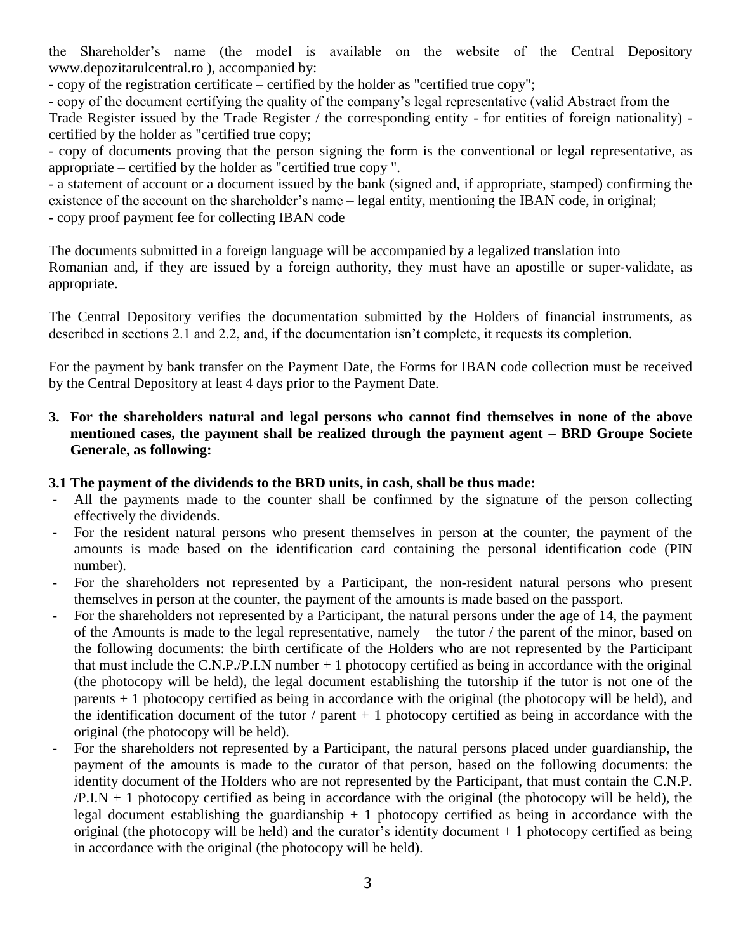the Shareholder's name (the model is available on the website of the Central Depository www.depozitarulcentral.ro ), accompanied by:

- copy of the registration certificate – certified by the holder as "certified true copy";

- copy of the document certifying the quality of the company's legal representative (valid Abstract from the Trade Register issued by the Trade Register / the corresponding entity - for entities of foreign nationality) certified by the holder as "certified true copy;

- copy of documents proving that the person signing the form is the conventional or legal representative, as appropriate – certified by the holder as "certified true copy ".

- a statement of account or a document issued by the bank (signed and, if appropriate, stamped) confirming the existence of the account on the shareholder's name – legal entity, mentioning the IBAN code, in original; - copy proof payment fee for collecting IBAN code

The documents submitted in a foreign language will be accompanied by a legalized translation into Romanian and, if they are issued by a foreign authority, they must have an apostille or super-validate, as appropriate.

The Central Depository verifies the documentation submitted by the Holders of financial instruments, as described in sections 2.1 and 2.2, and, if the documentation isn't complete, it requests its completion.

For the payment by bank transfer on the Payment Date, the Forms for IBAN code collection must be received by the Central Depository at least 4 days prior to the Payment Date.

# **3. For the shareholders natural and legal persons who cannot find themselves in none of the above mentioned cases, the payment shall be realized through the payment agent – BRD Groupe Societe Generale, as following:**

# **3.1 The payment of the dividends to the BRD units, in cash, shall be thus made:**

- All the payments made to the counter shall be confirmed by the signature of the person collecting effectively the dividends.
- For the resident natural persons who present themselves in person at the counter, the payment of the amounts is made based on the identification card containing the personal identification code (PIN number).
- For the shareholders not represented by a Participant, the non-resident natural persons who present themselves in person at the counter, the payment of the amounts is made based on the passport.
- For the shareholders not represented by a Participant, the natural persons under the age of 14, the payment of the Amounts is made to the legal representative, namely – the tutor / the parent of the minor, based on the following documents: the birth certificate of the Holders who are not represented by the Participant that must include the C.N.P./P.I.N number  $+1$  photocopy certified as being in accordance with the original (the photocopy will be held), the legal document establishing the tutorship if the tutor is not one of the parents + 1 photocopy certified as being in accordance with the original (the photocopy will be held), and the identification document of the tutor / parent  $+1$  photocopy certified as being in accordance with the original (the photocopy will be held).
- For the shareholders not represented by a Participant, the natural persons placed under guardianship, the payment of the amounts is made to the curator of that person, based on the following documents: the identity document of the Holders who are not represented by the Participant, that must contain the C.N.P.  $/P.I.N + 1$  photocopy certified as being in accordance with the original (the photocopy will be held), the legal document establishing the guardianship  $+1$  photocopy certified as being in accordance with the original (the photocopy will be held) and the curator's identity document + 1 photocopy certified as being in accordance with the original (the photocopy will be held).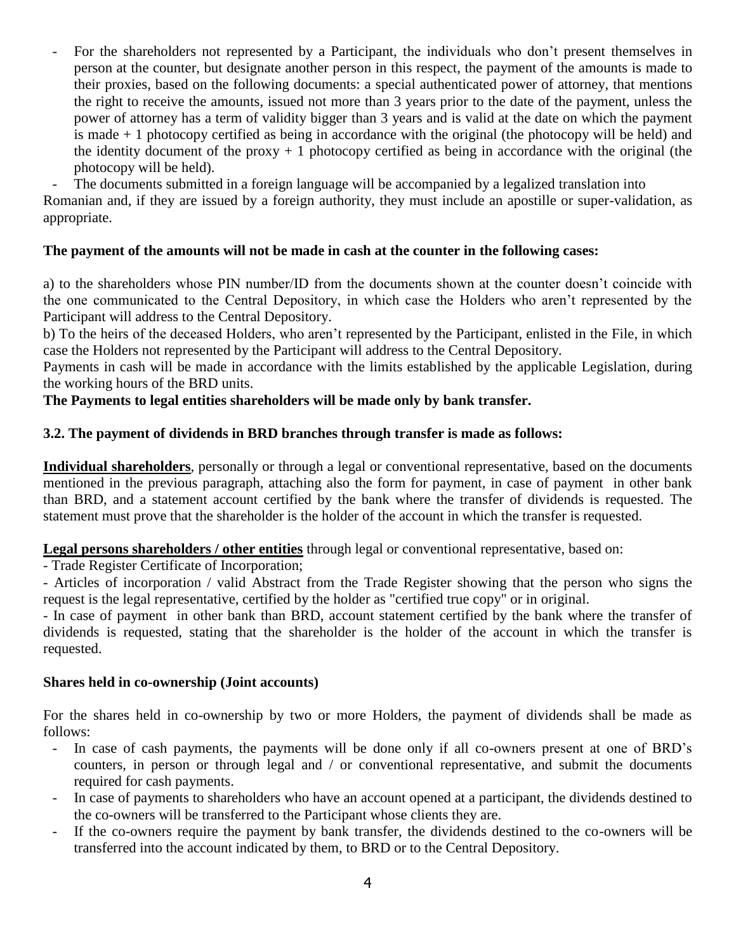- For the shareholders not represented by a Participant, the individuals who don't present themselves in person at the counter, but designate another person in this respect, the payment of the amounts is made to their proxies, based on the following documents: a special authenticated power of attorney, that mentions the right to receive the amounts, issued not more than 3 years prior to the date of the payment, unless the power of attorney has a term of validity bigger than 3 years and is valid at the date on which the payment is made + 1 photocopy certified as being in accordance with the original (the photocopy will be held) and the identity document of the proxy  $+1$  photocopy certified as being in accordance with the original (the photocopy will be held).

The documents submitted in a foreign language will be accompanied by a legalized translation into

Romanian and, if they are issued by a foreign authority, they must include an apostille or super-validation, as appropriate.

# **The payment of the amounts will not be made in cash at the counter in the following cases:**

a) to the shareholders whose PIN number/ID from the documents shown at the counter doesn't coincide with the one communicated to the Central Depository, in which case the Holders who aren't represented by the Participant will address to the Central Depository.

b) To the heirs of the deceased Holders, who aren't represented by the Participant, enlisted in the File, in which case the Holders not represented by the Participant will address to the Central Depository.

Payments in cash will be made in accordance with the limits established by the applicable Legislation, during the working hours of the BRD units.

### **The Payments to legal entities shareholders will be made only by bank transfer.**

### **3.2. The payment of dividends in BRD branches through transfer is made as follows:**

**Individual shareholders**, personally or through a legal or conventional representative, based on the documents mentioned in the previous paragraph, attaching also the form for payment, in case of payment in other bank than BRD, and a statement account certified by the bank where the transfer of dividends is requested. The statement must prove that the shareholder is the holder of the account in which the transfer is requested.

### **Legal persons shareholders / other entities** through legal or conventional representative, based on:

- Trade Register Certificate of Incorporation;

- Articles of incorporation / valid Abstract from the Trade Register showing that the person who signs the request is the legal representative, certified by the holder as "certified true copy" or in original.

- In case of payment in other bank than BRD, account statement certified by the bank where the transfer of dividends is requested, stating that the shareholder is the holder of the account in which the transfer is requested.

#### **Shares held in co-ownership (Joint accounts)**

For the shares held in co-ownership by two or more Holders, the payment of dividends shall be made as follows:

- In case of cash payments, the payments will be done only if all co-owners present at one of BRD's counters, in person or through legal and / or conventional representative, and submit the documents required for cash payments.
- In case of payments to shareholders who have an account opened at a participant, the dividends destined to the co-owners will be transferred to the Participant whose clients they are.
- If the co-owners require the payment by bank transfer, the dividends destined to the co-owners will be transferred into the account indicated by them, to BRD or to the Central Depository.